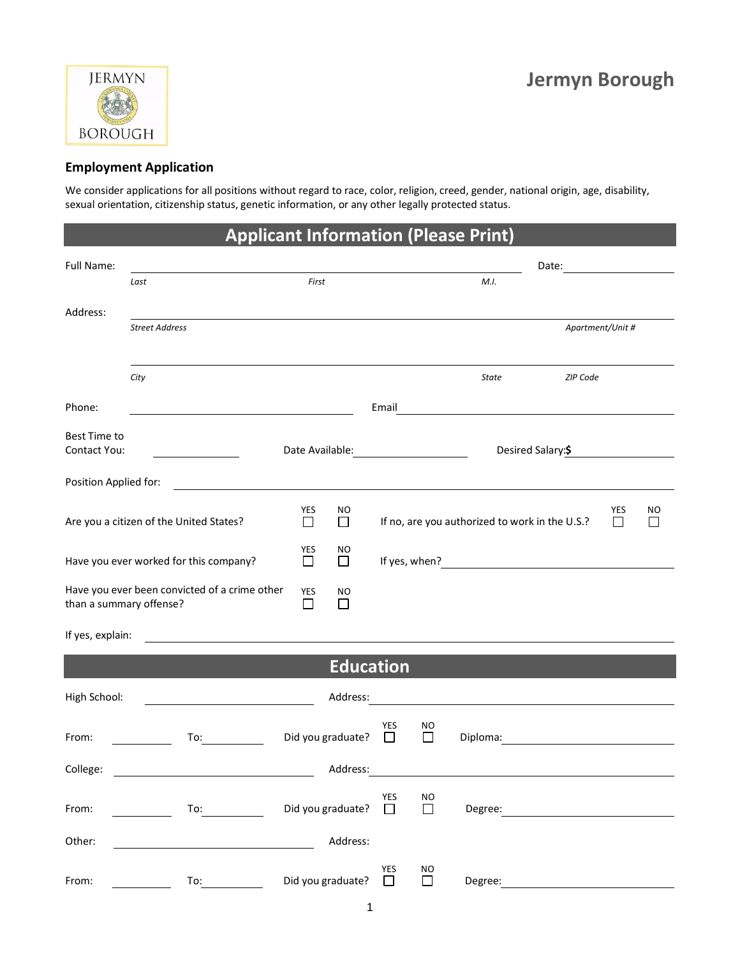

#### **Employment Application**

We consider applications for all positions without regard to race, color, religion, creed, gender, national origin, age, disability, sexual orientation, citizenship status, genetic information, or any other legally protected status.

### **Applicant Information (Please Print)** Full Name: Date: *Last First M.I.* Address: *Street Address Apartment/Unit # City State ZIP Code* Phone: Email Best Time to Contact You: Date Available: Desired Salary:**\$** Position Applied for: YES NO YES NO Are you a citizen of the United States? If no, are you authorized to work in the U.S.?  $\Box$ YES NO If yes, when?<br>
<u>
If</u> yes, when? Have you ever worked for this company?  $\Box$  $\Box$ Have you ever been convicted of a crime other YES NO than a summary offense? If yes, explain: **Education** High School: **Address:** Address: YES NO From: To: Did you graduate? Diploma: College: Address:

| From:  | To: | Did you graduate? | YES<br>$\Box$ | <b>NO</b> | Degree: |
|--------|-----|-------------------|---------------|-----------|---------|
| Other: |     | Address:          |               |           |         |
| From:  | To: | Did you graduate? | YES           | <b>NO</b> | Degree: |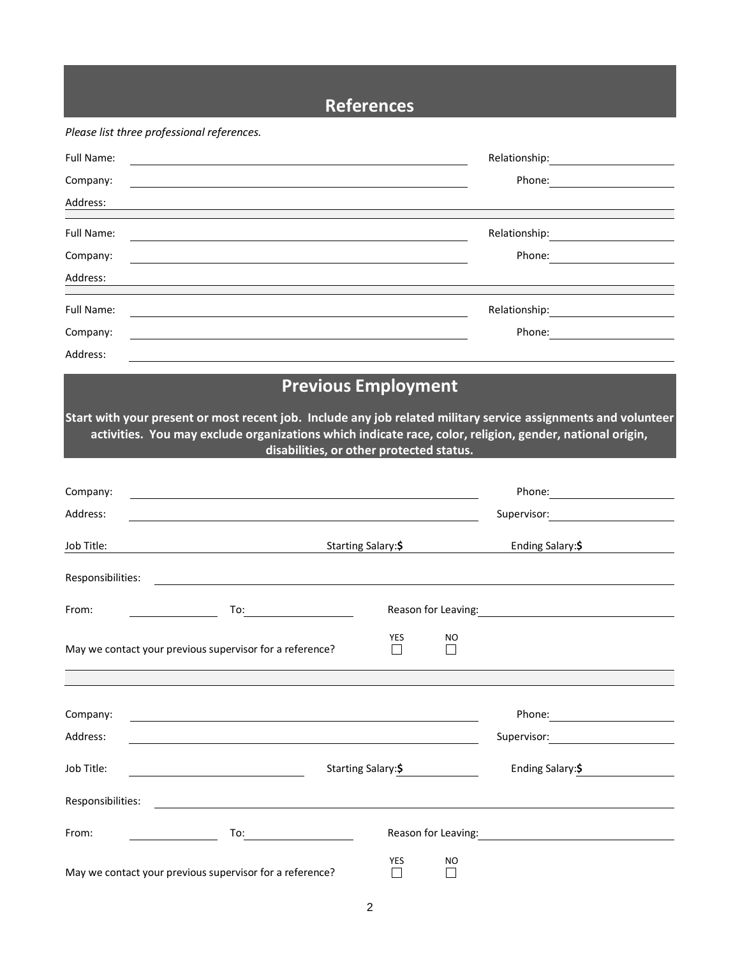# **References**

*Please list three professional references.*

| Full Name:                                               |                                                                                                                                                                                                                                |                    |              |                                                                                                                                                                                                                                |
|----------------------------------------------------------|--------------------------------------------------------------------------------------------------------------------------------------------------------------------------------------------------------------------------------|--------------------|--------------|--------------------------------------------------------------------------------------------------------------------------------------------------------------------------------------------------------------------------------|
| Company:                                                 |                                                                                                                                                                                                                                |                    |              |                                                                                                                                                                                                                                |
| Address:                                                 |                                                                                                                                                                                                                                |                    |              |                                                                                                                                                                                                                                |
| Full Name:                                               | <u> 1980 - Johann Barn, mars ann an Cathair ann an t-Èireann an t-Èireann an t-Èireann an t-Èireann an t-Èireann</u>                                                                                                           |                    |              |                                                                                                                                                                                                                                |
| Company:                                                 |                                                                                                                                                                                                                                |                    |              | Phone: <u>_________________</u>                                                                                                                                                                                                |
| Address:                                                 |                                                                                                                                                                                                                                |                    |              |                                                                                                                                                                                                                                |
| Full Name:                                               |                                                                                                                                                                                                                                |                    |              |                                                                                                                                                                                                                                |
| Company:                                                 |                                                                                                                                                                                                                                |                    |              |                                                                                                                                                                                                                                |
| Address:                                                 |                                                                                                                                                                                                                                |                    |              |                                                                                                                                                                                                                                |
|                                                          | <b>Previous Employment</b>                                                                                                                                                                                                     |                    |              |                                                                                                                                                                                                                                |
|                                                          |                                                                                                                                                                                                                                |                    |              |                                                                                                                                                                                                                                |
|                                                          |                                                                                                                                                                                                                                |                    |              | Start with your present or most recent job. Include any job related military service assignments and volunteer<br>activities. You may exclude organizations which indicate race, color, religion, gender, national origin,     |
|                                                          | disabilities, or other protected status.                                                                                                                                                                                       |                    |              |                                                                                                                                                                                                                                |
|                                                          |                                                                                                                                                                                                                                |                    |              |                                                                                                                                                                                                                                |
| Company:                                                 |                                                                                                                                                                                                                                |                    |              | Phone: 2008                                                                                                                                                                                                                    |
| Address:                                                 | <u> 1989 - Johann Stein, mars an deutscher Stein (d. 1989)</u>                                                                                                                                                                 |                    |              | Supervisor: <u>___________________</u>                                                                                                                                                                                         |
| Job Title:                                               |                                                                                                                                                                                                                                | Starting Salary:\$ |              | Ending Salary:\$                                                                                                                                                                                                               |
| Responsibilities:                                        |                                                                                                                                                                                                                                |                    |              |                                                                                                                                                                                                                                |
|                                                          | <u> 1989 - Johann Harry Harry Harry Harry Harry Harry Harry Harry Harry Harry Harry Harry Harry Harry Harry Harry</u>                                                                                                          |                    |              |                                                                                                                                                                                                                                |
| From:                                                    | To: the contract of the contract of the contract of the contract of the contract of the contract of the contract of the contract of the contract of the contract of the contract of the contract of the contract of the contra |                    |              | Reason for Leaving: The Contract of the Contract of the Contract of the Contract of the Contract of the Contract of the Contract of the Contract of the Contract of the Contract of the Contract of the Contract of the Contra |
| May we contact your previous supervisor for a reference? |                                                                                                                                                                                                                                | YES                | NO<br>$\Box$ |                                                                                                                                                                                                                                |
|                                                          |                                                                                                                                                                                                                                |                    |              |                                                                                                                                                                                                                                |
|                                                          |                                                                                                                                                                                                                                |                    |              |                                                                                                                                                                                                                                |
| Company:                                                 |                                                                                                                                                                                                                                |                    |              |                                                                                                                                                                                                                                |
| Address:                                                 |                                                                                                                                                                                                                                |                    |              | Supervisor: <u>___________________________</u>                                                                                                                                                                                 |
| Job Title:                                               |                                                                                                                                                                                                                                | Starting Salary:\$ |              | Ending Salary:\$                                                                                                                                                                                                               |
| Responsibilities:                                        |                                                                                                                                                                                                                                |                    |              |                                                                                                                                                                                                                                |
| From:                                                    |                                                                                                                                                                                                                                |                    |              |                                                                                                                                                                                                                                |
|                                                          |                                                                                                                                                                                                                                |                    |              |                                                                                                                                                                                                                                |
| May we contact your previous supervisor for a reference? |                                                                                                                                                                                                                                | YES<br>П           | NO<br>П      |                                                                                                                                                                                                                                |